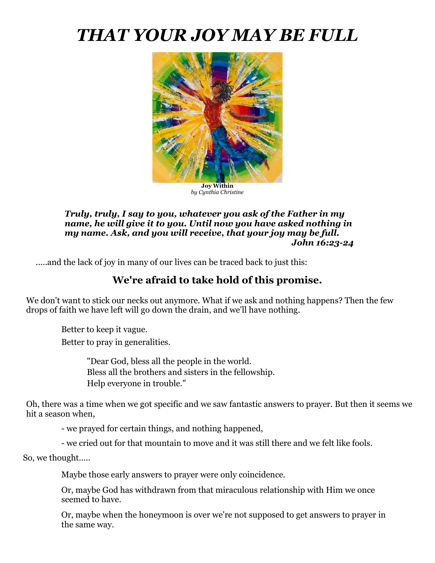# *THAT YOUR JOY MAY BE FULL*



**Joy Within** *by Cynthia Christine*

#### *Truly, truly, I say to you, whatever you ask of the Father in my name, he will give it to you. Until now you have asked nothing in my name. Ask, and you will receive, that your joy may be full. John 16:23-24*

.....and the lack of joy in many of our lives can be traced back to just this:

# **We're afraid to take hold of this promise.**

We don't want to stick our necks out anymore. What if we ask and nothing happens? Then the few drops of faith we have left will go down the drain, and we'll have nothing.

Better to keep it vague. Better to pray in generalities.

> "Dear God, bless all the people in the world. Bless all the brothers and sisters in the fellowship. Help everyone in trouble."

Oh, there was a time when we got specific and we saw fantastic answers to prayer. But then it seems we hit a season when,

- we prayed for certain things, and nothing happened,

- we cried out for that mountain to move and it was still there and we felt like fools.

So, we thought.....

Maybe those early answers to prayer were only coincidence.

Or, maybe God has withdrawn from that miraculous relationship with Him we once seemed to have.

Or, maybe when the honeymoon is over we're not supposed to get answers to prayer in the same way.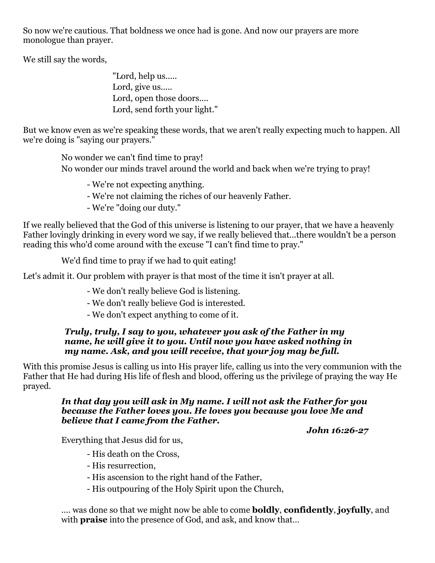So now we're cautious. That boldness we once had is gone. And now our prayers are more monologue than prayer.

We still say the words,

"Lord, help us..... Lord, give us..... Lord, open those doors.... Lord, send forth your light."

But we know even as we're speaking these words, that we aren't really expecting much to happen. All we're doing is "saying our prayers."

No wonder we can't find time to pray! No wonder our minds travel around the world and back when we're trying to pray!

- We're not expecting anything.

- We're not claiming the riches of our heavenly Father.

- We're "doing our duty."

If we really believed that the God of this universe is listening to our prayer, that we have a heavenly Father lovingly drinking in every word we say, if we really believed that...there wouldn't be a person reading this who'd come around with the excuse "I can't find time to pray."

We'd find time to pray if we had to quit eating!

Let's admit it. Our problem with prayer is that most of the time it isn't prayer at all.

- We don't really believe God is listening.
- We don't really believe God is interested.
- We don't expect anything to come of it.

#### *Truly, truly, I say to you, whatever you ask of the Father in my name, he will give it to you. Until now you have asked nothing in my name. Ask, and you will receive, that your joy may be full.*

With this promise Jesus is calling us into His prayer life, calling us into the very communion with the Father that He had during His life of flesh and blood, offering us the privilege of praying the way He prayed.

#### *In that day you will ask in My name. I will not ask the Father for you because the Father loves you. He loves you because you love Me and believe that I came from the Father.*

*John 16:26-27*

Everything that Jesus did for us,

- His death on the Cross,
- His resurrection,
- His ascension to the right hand of the Father,
- His outpouring of the Holy Spirit upon the Church,

…. was done so that we might now be able to come **boldly**, **confidently**, **joyfully**, and with **praise** into the presence of God, and ask, and know that…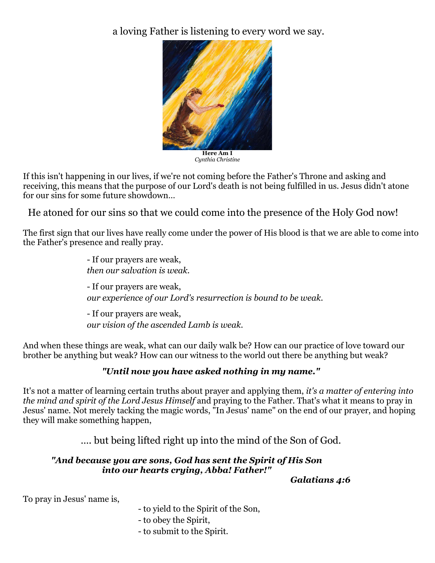a loving Father is listening to every word we say.



**Here Am I** *Cynthia Christine*

If this isn't happening in our lives, if we're not coming before the Father's Throne and asking and receiving, this means that the purpose of our Lord's death is not being fulfilled in us. Jesus didn't atone for our sins for some future showdown…

He atoned for our sins so that we could come into the presence of the Holy God now!

The first sign that our lives have really come under the power of His blood is that we are able to come into the Father's presence and really pray.

> - If our prayers are weak, *then our salvation is weak.*  - If our prayers are weak, *our experience of our Lord's resurrection is bound to be weak.* - If our prayers are weak, *our vision of the ascended Lamb is weak.*

And when these things are weak, what can our daily walk be? How can our practice of love toward our brother be anything but weak? How can our witness to the world out there be anything but weak?

# *"Until now you have asked nothing in my name."*

It's not a matter of learning certain truths about prayer and applying them, *it's a matter of entering into the mind and spirit of the Lord Jesus Himself* and praying to the Father. That's what it means to pray in Jesus' name. Not merely tacking the magic words, "In Jesus' name" on the end of our prayer, and hoping they will make something happen,

…. but being lifted right up into the mind of the Son of God.

### *"And because you are sons, God has sent the Spirit of His Son into our hearts crying, Abba! Father!"*

*Galatians 4:6*

To pray in Jesus' name is,

- to yield to the Spirit of the Son,
- to obey the Spirit,
- to submit to the Spirit.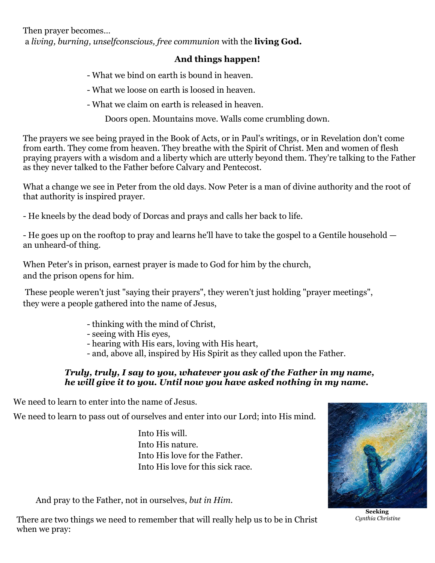Then prayer becomes… a *living, burning, unselfconscious, free communion* with the **living God.** 

# **And things happen!**

- What we bind on earth is bound in heaven.
- What we loose on earth is loosed in heaven.
- What we claim on earth is released in heaven.

Doors open. Mountains move. Walls come crumbling down.

The prayers we see being prayed in the Book of Acts, or in Paul's writings, or in Revelation don't come from earth. They come from heaven. They breathe with the Spirit of Christ. Men and women of flesh praying prayers with a wisdom and a liberty which are utterly beyond them. They're talking to the Father as they never talked to the Father before Calvary and Pentecost.

What a change we see in Peter from the old days. Now Peter is a man of divine authority and the root of that authority is inspired prayer.

- He kneels by the dead body of Dorcas and prays and calls her back to life.

- He goes up on the rooftop to pray and learns he'll have to take the gospel to a Gentile household an unheard-of thing.

When Peter's in prison, earnest prayer is made to God for him by the church, and the prison opens for him.

These people weren't just "saying their prayers", they weren't just holding "prayer meetings", they were a people gathered into the name of Jesus,

- thinking with the mind of Christ,
- seeing with His eyes,
- hearing with His ears, loving with His heart,
- and, above all, inspired by His Spirit as they called upon the Father.

#### *Truly, truly, I say to you, whatever you ask of the Father in my name, he will give it to you. Until now you have asked nothing in my name.*

We need to learn to enter into the name of Jesus.

We need to learn to pass out of ourselves and enter into our Lord; into His mind.

Into His will. Into His nature. Into His love for the Father. Into His love for this sick race.

And pray to the Father, not in ourselves, *but in Him.*

There are two things we need to remember that will really help us to be in Christ when we pray:

**Seeking** *Cynthia Christine*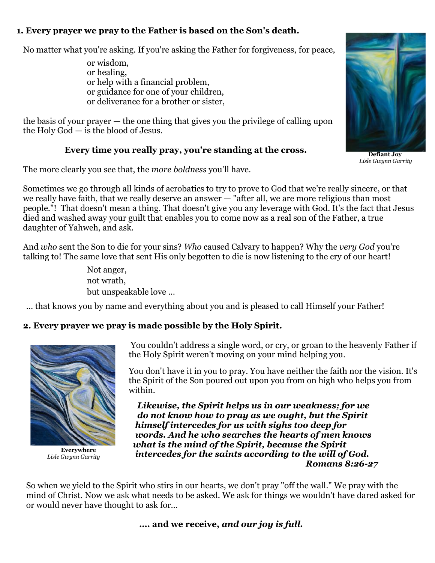## **1. Every prayer we pray to the Father is based on the Son's death.**

No matter what you're asking. If you're asking the Father for forgiveness, for peace,

or wisdom, or healing, or help with a financial problem, or guidance for one of your children, or deliverance for a brother or sister,

the basis of your prayer — the one thing that gives you the privilege of calling upon the Holy God — is the blood of Jesus.

# **Every time you really pray, you're standing at the cross.**

The more clearly you see that, the *more boldness* you'll have.

Sometimes we go through all kinds of acrobatics to try to prove to God that we're really sincere, or that we really have faith, that we really deserve an answer — "after all, we are more religious than most people."! That doesn't mean a thing. That doesn't give you any leverage with God. It's the fact that Jesus died and washed away your guilt that enables you to come now as a real son of the Father, a true daughter of Yahweh, and ask.

And *who* sent the Son to die for your sins? *Who* caused Calvary to happen? Why the *very God* you're talking to! The same love that sent His only begotten to die is now listening to the cry of our heart!

> Not anger, not wrath, but unspeakable love …

… that knows you by name and everything about you and is pleased to call Himself your Father!

# **2. Every prayer we pray is made possible by the Holy Spirit.**



**Everywhere** *Lisle Gwynn Garrity*

You couldn't address a single word, or cry, or groan to the heavenly Father if the Holy Spirit weren't moving on your mind helping you.

You don't have it in you to pray. You have neither the faith nor the vision. It's the Spirit of the Son poured out upon you from on high who helps you from within.

 *Likewise, the Spirit helps us in our weakness; for we do not know how to pray as we ought, but the Spirit himself intercedes for us with sighs too deep for words. And he who searches the hearts of men knows what is the mind of the Spirit, because the Spirit intercedes for the saints according to the will of God. Romans 8:26-27*

So when we yield to the Spirit who stirs in our hearts, we don't pray "off the wall." We pray with the mind of Christ. Now we ask what needs to be asked. We ask for things we wouldn't have dared asked for or would never have thought to ask for…

**…. and we receive,** *and our joy is full.*



**Defiant Joy** *Lisle Gwynn Garrity*